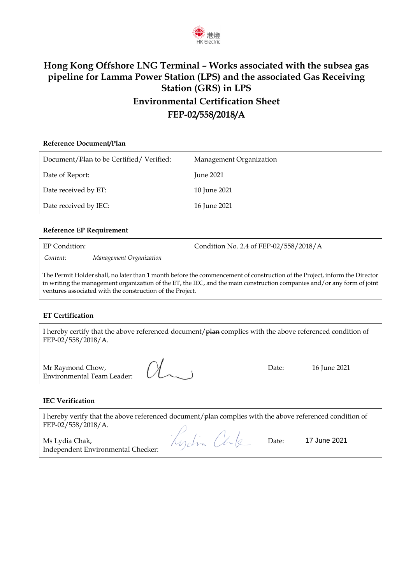

## **Hong Kong Offshore LNG Terminal – Works associated with the subsea gas pipeline for Lamma Power Station (LPS) and the associated Gas Receiving Station (GRS) in LPS Environmental Certification Sheet FEP-02/558/2018/A**

# **Reference Document/Plan** Document/Plan to be Certified/ Verified: Management Organization Date of Report: June 2021 Date received by ET: 10 June 2021 Date received by IEC: 16 June 2021

### **Reference EP Requirement**

EP Condition: Condition No. 2.4 of FEP-02/558/2018/A

*Content: Management Organization*

The Permit Holder shall, no later than 1 month before the commencement of construction of the Project, inform the Director in writing the management organization of the ET, the IEC, and the main construction companies and/or any form of joint ventures associated with the construction of the Project.

#### **ET Certification**

I hereby certify that the above referenced document/plan complies with the above referenced condition of FEP-02/558/2018/A.

Mr Raymond Chow, Environmental Team Leader:  $\alpha$ 

Date: 16 June 2021

#### **IEC Verification**

I hereby verify that the above referenced document/ $p$ lan complies with the above referenced condition of FEP-02/558/2018/A.

Ms Lydia Chak, Independent Environmental Checker:

Kydin Chke

Date: 17 June 2021